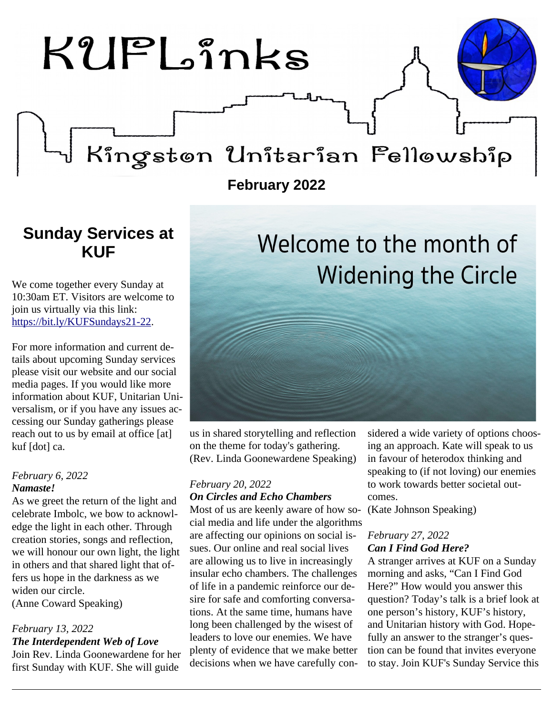# $KUPL<sub>2</sub>înks$

## Kingstøn Unitarian Felløwship

**February 2022**

### <span id="page-0-0"></span>**Sunday Services at KUF**

We come together every Sunday at 10:30am ET. Visitors are welcome to join us virtually via this link: [https://bit.ly/KUFSundays21-22.](https://bit.ly/KUFSundays21-22)

For more information and current details about upcoming Sunday services please visit our website and our social media pages. If you would like more information about KUF, Unitarian Universalism, or if you have any issues accessing our Sunday gatherings please reach out to us by email at office [at] kuf [dot] ca.

#### *February 6, 2022 Namaste!*

As we greet the return of the light and celebrate Imbolc, we bow to acknowledge the light in each other. Through creation stories, songs and reflection, we will honour our own light, the light in others and that shared light that offers us hope in the darkness as we widen our circle. (Anne Coward Speaking)

#### *February 13, 2022 The Interdependent Web of Love*

Join Rev. Linda Goonewardene for her first Sunday with KUF. She will guide

us in shared storytelling and reflection on the theme for today's gathering. (Rev. Linda Goonewardene Speaking)

#### *February 20, 2022 On Circles and Echo Chambers*

Most of us are keenly aware of how so-(Kate Johnson Speaking) cial media and life under the algorithms are affecting our opinions on social issues. Our online and real social lives are allowing us to live in increasingly insular echo chambers. The challenges of life in a pandemic reinforce our desire for safe and comforting conversations. At the same time, humans have long been challenged by the wisest of leaders to love our enemies. We have plenty of evidence that we make better decisions when we have carefully con-

sidered a wide variety of options choosing an approach. Kate will speak to us in favour of heterodox thinking and speaking to (if not loving) our enemies to work towards better societal outcomes.

Welcome to the month of

**Widening the Circle** 

#### *February 27, 2022 Can I Find God Here?*

A stranger arrives at KUF on a Sunday morning and asks, "Can I Find God Here?" How would you answer this question? Today's talk is a brief look at one person's history, KUF's history, and Unitarian history with God. Hopefully an answer to the stranger's question can be found that invites everyone to stay. Join KUF's Sunday Service this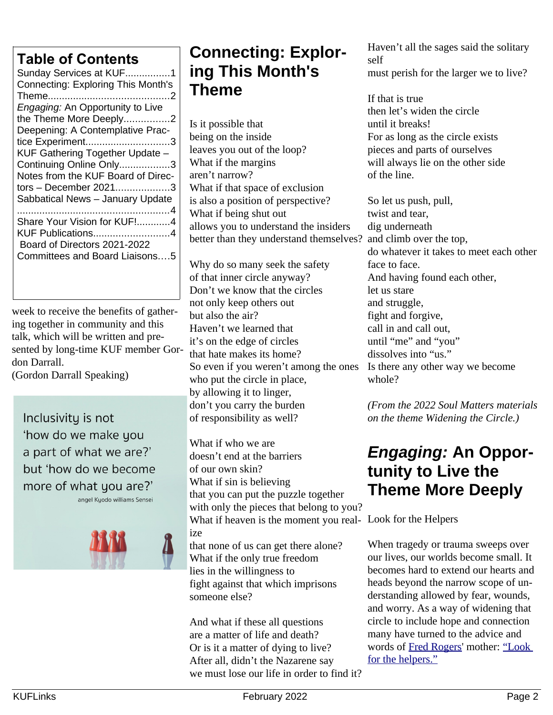### **Table of Contents**

| LADIG OF OOTILGITLE                       |
|-------------------------------------------|
| Sunday Services at KUF1                   |
| <b>Connecting: Exploring This Month's</b> |
|                                           |
| Engaging: An Opportunity to Live          |
| the Theme More Deeply2                    |
| Deepening: A Contemplative Prac-          |
| tice Experiment3                          |
| KUF Gathering Together Update -           |
| Continuing Online Only3                   |
| Notes from the KUF Board of Direc-        |
| tors - December 20213                     |
| Sabbatical News - January Update          |
| . 4                                       |
| Share Your Vision for KUF!4               |
| KUF Publications4                         |
| Board of Directors 2021-2022              |
| Committees and Board Liaisons5            |
|                                           |
|                                           |

week to receive the benefits of gathering together in community and this talk, which will be written and presented by long-time KUF member Gordon Darrall.

(Gordon Darrall Speaking)

Inclusivity is not 'how do we make you a part of what we are?' but 'how do we become more of what you are?' angel Kyodo williams Sensei



### <span id="page-1-1"></span>**Connecting: Exploring This Month's Theme**

Is it possible that being on the inside leaves you out of the loop? What if the margins aren't narrow? What if that space of exclusion is also a position of perspective? What if being shut out allows you to understand the insiders better than they understand themselves?

Why do so many seek the safety of that inner circle anyway? Don't we know that the circles not only keep others out but also the air? Haven't we learned that it's on the edge of circles that hate makes its home? So even if you weren't among the ones who put the circle in place, by allowing it to linger, don't you carry the burden of responsibility as well?

What if who we are doesn't end at the barriers of our own skin? What if sin is believing that you can put the puzzle together with only the pieces that belong to you? What if heaven is the moment you real-Look for the Helpers ize that none of us can get there alone? What if the only true freedom lies in the willingness to fight against that which imprisons someone else?

And what if these all questions are a matter of life and death? Or is it a matter of dying to live? After all, didn't the Nazarene say we must lose our life in order to find it? Haven't all the sages said the solitary self must perish for the larger we to live?

If that is true then let's widen the circle until it breaks! For as long as the circle exists pieces and parts of ourselves will always lie on the other side of the line.

So let us push, pull, twist and tear, dig underneath and climb over the top, do whatever it takes to meet each other face to face. And having found each other, let us stare and struggle, fight and forgive, call in and call out, until "me" and "you" dissolves into "us." Is there any other way we become whole?

*(From the 2022 Soul Matters materials on the theme Widening the Circle.)*

### <span id="page-1-0"></span>*Engaging:* **An Opportunity to Live the Theme More Deeply**

When tragedy or trauma sweeps over our lives, our worlds become small. It becomes hard to extend our hearts and heads beyond the narrow scope of understanding allowed by fear, wounds, and worry. As a way of widening that circle to include hope and connection many have turned to the advice and words of [Fred Rogers'](https://www.youtube.com/watch?v=-LGHtc_D328) mother: ["Look](https://www.huffpost.com/entry/mister-rogers-look-for-the-helpers-quote_n_5b19477ce4b0599bc6e15b4e)  [for the helpers."](https://www.huffpost.com/entry/mister-rogers-look-for-the-helpers-quote_n_5b19477ce4b0599bc6e15b4e)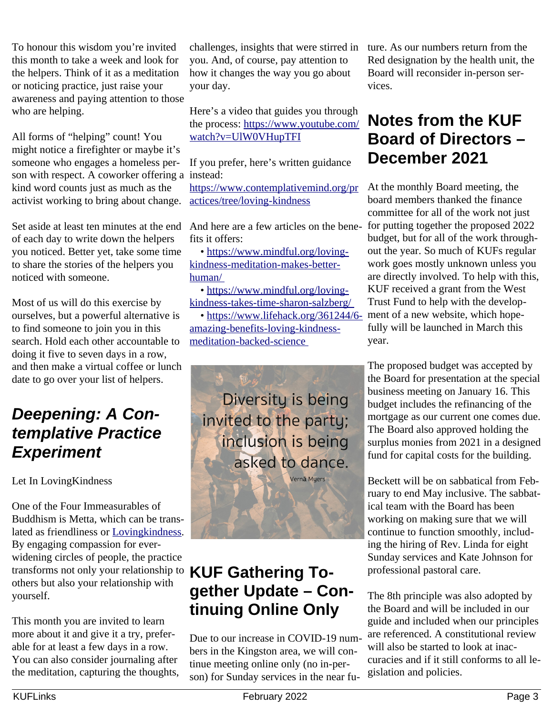To honour this wisdom you're invited this month to take a week and look for the helpers. Think of it as a meditation or noticing practice, just raise your awareness and paying attention to those who are helping.

All forms of "helping" count! You might notice a firefighter or maybe it's someone who engages a homeless person with respect. A coworker offering a instead: kind word counts just as much as the activist working to bring about change.

Set aside at least ten minutes at the end of each day to write down the helpers you noticed. Better yet, take some time to share the stories of the helpers you noticed with someone.

Most of us will do this exercise by ourselves, but a powerful alternative is to find someone to join you in this search. Hold each other accountable to doing it five to seven days in a row, and then make a virtual coffee or lunch date to go over your list of helpers.

### <span id="page-2-2"></span>*Deepening: A Contemplative Practice Experiment*

Let In LovingKindness

One of the Four Immeasurables of Buddhism is Metta, which can be translated as friendliness or [Lovingkindness.](https://www.learnreligions.com/loving-kindness-metta-449703) By engaging compassion for everwidening circles of people, the practice transforms not only your relationship to others but also your relationship with yourself.

This month you are invited to learn more about it and give it a try, preferable for at least a few days in a row. You can also consider journaling after the meditation, capturing the thoughts,

challenges, insights that were stirred in you. And, of course, pay attention to how it changes the way you go about your day.

Here's a video that guides you through the process: [https://www.youtube.com/](https://www.youtube.com/watch?v=UlW0VHupTFI) [watch?v=UlW0VHupTFI](https://www.youtube.com/watch?v=UlW0VHupTFI)

If you prefer, here's written guidance

[https://www.contemplativemind.org/pr](https://www.contemplativemind.org/practices/tree/loving-kindness) [actices/tree/loving-kindness](https://www.contemplativemind.org/practices/tree/loving-kindness) 

fits it offers:

 • [https://www.mindful.org/loving](https://www.mindful.org/loving-kindness-meditation-makes-better-human/)[kindness-meditation-makes-better](https://www.mindful.org/loving-kindness-meditation-makes-better-human/)[human/](https://www.mindful.org/loving-kindness-meditation-makes-better-human/) 

 • [https://www.mindful.org/loving](https://www.mindful.org/loving-kindness-takes-time-sharon-salzberg/)[kindness-takes-time-sharon-salzberg/](https://www.mindful.org/loving-kindness-takes-time-sharon-salzberg/) 

 • [https://www.lifehack.org/361244/6](https://www.lifehack.org/361244/6-amazing-benefits-loving-kindness-meditation-backed-science) [amazing-benefits-loving-kindness](https://www.lifehack.org/361244/6-amazing-benefits-loving-kindness-meditation-backed-science)[meditation-backed-science](https://www.lifehack.org/361244/6-amazing-benefits-loving-kindness-meditation-backed-science) 

Diversity is being invited to the party; inclusion is being asked to dance. Vern<mark>ā My</mark>ers

### <span id="page-2-1"></span>**KUF Gathering Together Update – Continuing Online Only**

Due to our increase in COVID-19 numbers in the Kingston area, we will continue meeting online only (no in-person) for Sunday services in the near fu-

ture. As our numbers return from the Red designation by the health unit, the Board will reconsider in-person services.

### <span id="page-2-0"></span>**Notes from the KUF Board of Directors – December 2021**

And here are a few articles on the bene-for putting together the proposed 2022 At the monthly Board meeting, the board members thanked the finance committee for all of the work not just budget, but for all of the work throughout the year. So much of KUFs regular work goes mostly unknown unless you are directly involved. To help with this, KUF received a grant from the West Trust Fund to help with the development of a new website, which hopefully will be launched in March this year.

> The proposed budget was accepted by the Board for presentation at the special business meeting on January 16. This budget includes the refinancing of the mortgage as our current one comes due. The Board also approved holding the surplus monies from 2021 in a designed fund for capital costs for the building.

> Beckett will be on sabbatical from February to end May inclusive. The sabbatical team with the Board has been working on making sure that we will continue to function smoothly, including the hiring of Rev. Linda for eight Sunday services and Kate Johnson for professional pastoral care.

> The 8th principle was also adopted by the Board and will be included in our guide and included when our principles are referenced. A constitutional review will also be started to look at inaccuracies and if it still conforms to all legislation and policies.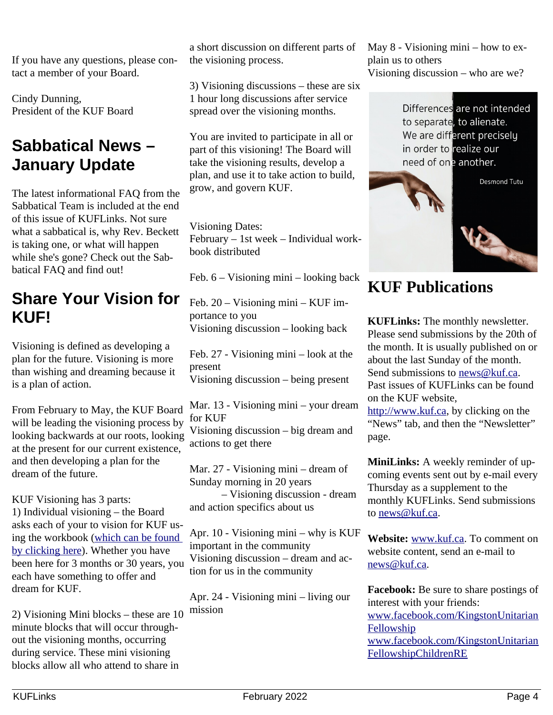If you have any questions, please contact a member of your Board.

Cindy Dunning, President of the KUF Board

### <span id="page-3-2"></span>**Sabbatical News – January Update**

The latest informational FAQ from the Sabbatical Team is included at the end of this issue of KUFLinks. Not sure what a sabbatical is, why Rev. Beckett is taking one, or what will happen while she's gone? Check out the Sabbatical FAQ and find out!

### <span id="page-3-1"></span>**Share Your Vision for KUF!**

Visioning is defined as developing a plan for the future. Visioning is more than wishing and dreaming because it is a plan of action.

From February to May, the KUF Board will be leading the visioning process by looking backwards at our roots, looking at the present for our current existence, and then developing a plan for the dream of the future.

KUF Visioning has 3 parts: 1) Individual visioning – the Board asks each of your to vision for KUF using the workbook [\(which can be found](https://files.constantcontact.com/5a44916d201/7026b1d4-330a-4cd6-a15f-81be93a8e054.pdf)  [by clicking here\)](https://files.constantcontact.com/5a44916d201/7026b1d4-330a-4cd6-a15f-81be93a8e054.pdf). Whether you have been here for 3 months or 30 years, you each have something to offer and dream for KUF.

2) Visioning Mini blocks – these are 10 minute blocks that will occur throughout the visioning months, occurring during service. These mini visioning blocks allow all who attend to share in

a short discussion on different parts of the visioning process.

3) Visioning discussions – these are six 1 hour long discussions after service spread over the visioning months.

You are invited to participate in all or part of this visioning! The Board will take the visioning results, develop a plan, and use it to take action to build, grow, and govern KUF.

Visioning Dates: February – 1st week – Individual workbook distributed

Feb. 6 – Visioning mini – looking back

Feb. 20 – Visioning mini – KUF importance to you Visioning discussion – looking back

Feb. 27 - Visioning mini – look at the present Visioning discussion – being present

Mar. 13 - Visioning mini – your dream for KUF Visioning discussion – big dream and actions to get there

Mar. 27 - Visioning mini – dream of Sunday morning in 20 years – Visioning discussion - dream and action specifics about us

Apr. 10 - Visioning mini – why is KUF important in the community Visioning discussion – dream and action for us in the community

Apr. 24 - Visioning mini – living our mission

May 8 - Visioning mini – how to explain us to others Visioning discussion – who are we?

> Differences are not intended to separate, to alienate. We are different precisely in order to realize our need of one another.



### <span id="page-3-0"></span>**KUF Publications**

**KUFLinks:** The monthly newsletter. Please send submissions by the 20th of the month. It is usually published on or about the last Sunday of the month. Send submissions to [news@kuf.ca.](mailto:news@kuf.ca) Past issues of KUFLinks can be found on the KUF website, [http://www.kuf.ca,](http://www.kuf.ca/) by clicking on the "News" tab, and then the "Newsletter" page.

**MiniLinks:** A weekly reminder of upcoming events sent out by e-mail every Thursday as a supplement to the monthly KUFLinks. Send submissions to [news@kuf.ca.](mailto:news@kuf.ca)

**Website:** [www.kuf.ca.](http://www.kuf.ca/) To comment on website content, send an e-mail to news@kuf.ca.

**Facebook:** Be sure to share postings of interest with your friends: [www.facebook.com/KingstonUnitarian](http://www.facebook.com/KingstonUnitarianFellowship) [Fellowship](http://www.facebook.com/KingstonUnitarianFellowship) [www.facebook.com/KingstonUnitarian](https://www.facebook.com/KingstonUnitarianFellowshipChildrenRE) [FellowshipChildrenRE](https://www.facebook.com/KingstonUnitarianFellowshipChildrenRE)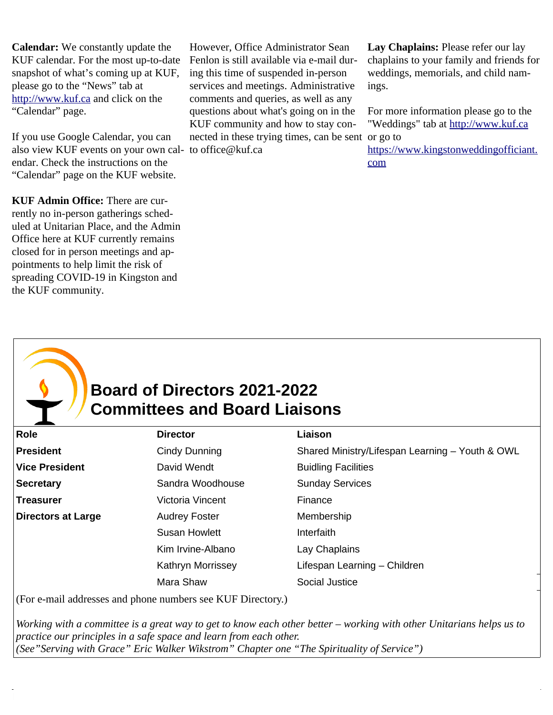**Calendar:** We constantly update the KUF calendar. For the most up-to-date snapshot of what's coming up at KUF, please go to the "News" tab at [http://www.kuf.ca](http://www.kuf.ca/) and click on the "Calendar" page.

If you use Google Calendar, you can also view KUF events on your own cal-to office@kuf.ca endar. Check the instructions on the "Calendar" page on the KUF website.

**KUF Admin Office:** There are currently no in-person gatherings scheduled at Unitarian Place, and the Admin Office here at KUF currently remains closed for in person meetings and appointments to help limit the risk of spreading COVID-19 in Kingston and the KUF community.

However, Office Administrator Sean Fenlon is still available via e-mail during this time of suspended in-person services and meetings. Administrative comments and queries, as well as any questions about what's going on in the KUF community and how to stay connected in these trying times, can be sent or go to

**Lay Chaplains:** Please refer our lay chaplains to your family and friends for weddings, memorials, and child namings.

For more information please go to the "Weddings" tab at [http://www.kuf.ca](http://www.kuf.ca/)

[https://www.kingstonweddingofficiant.](https://www.kingstonweddingofficiant.com/) [com](https://www.kingstonweddingofficiant.com/)

### <span id="page-4-0"></span>**Board of Directors 2021-2022 Committees and Board Liaisons**

| Role                      | <b>Director</b>      | Liaison                                         |
|---------------------------|----------------------|-------------------------------------------------|
| President                 | Cindy Dunning        | Shared Ministry/Lifespan Learning - Youth & OWL |
| <b>Vice President</b>     | David Wendt          | <b>Buidling Facilities</b>                      |
| <b>Secretary</b>          | Sandra Woodhouse     | <b>Sunday Services</b>                          |
| <b>Treasurer</b>          | Victoria Vincent     | Finance                                         |
| <b>Directors at Large</b> | <b>Audrey Foster</b> | Membership                                      |
|                           | <b>Susan Howlett</b> | Interfaith                                      |
|                           | Kim Irvine-Albano    | Lay Chaplains                                   |
|                           | Kathryn Morrissey    | Lifespan Learning - Children                    |
|                           | Mara Shaw            | Social Justice                                  |
|                           |                      |                                                 |

(For e-mail addresses and phone numbers see KUF Directory.)

*Working with a committee is a great way to get to know each other better – working with other Unitarians helps us to practice our principles in a safe space and learn from each other. (See"Serving with Grace" Eric Walker Wikstrom" Chapter one "The Spirituality of Service")*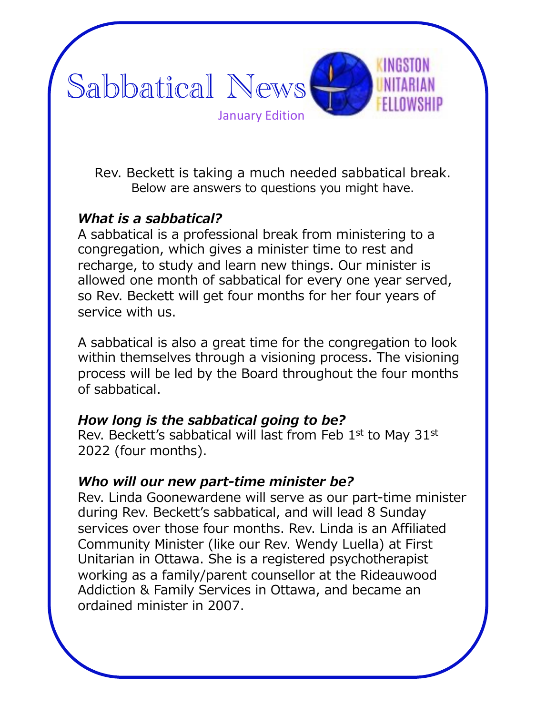

Rev. Beckett is taking a much needed sabbatical break. Below are answers to questions you might have.

### *What is a sabbatical?*

A sabbatical is a professional break from ministering to a congregation, which gives a minister time to rest and recharge, to study and learn new things. Our minister is allowed one month of sabbatical for every one year served, so Rev. Beckett will get four months for her four years of service with us.

A sabbatical is also a great time for the congregation to look within themselves through a visioning process. The visioning process will be led by the Board throughout the four months of sabbatical.

#### *How long is the sabbatical going to be?*

Rev. Beckett's sabbatical will last from Feb 1<sup>st</sup> to May 31<sup>st</sup> 2022 (four months).

#### *Who will our new part-time minister be?*

Rev. Linda Goonewardene will serve as our part-time minister during Rev. Beckett's sabbatical, and will lead 8 Sunday services over those four months. Rev. Linda is an Affiliated Community Minister (like our Rev. Wendy Luella) at First Unitarian in Ottawa. She is a registered psychotherapist working as a family/parent counsellor at the Rideauwood Addiction & Family Services in Ottawa, and became an ordained minister in 2007.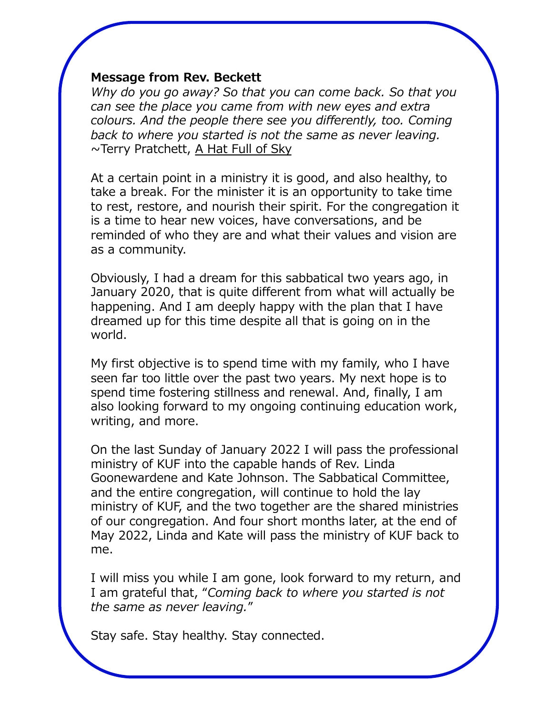#### **Message from Rev. Beckett**

*Why do you go away? So that you can come back. So that you can see the place you came from with new eyes and extra colours. And the people there see you differently, too. Coming back to where you started is not the same as never leaving.*  $\sim$ Terry Pratchett, A Hat Full of Sky

At a certain point in a ministry it is good, and also healthy, to take a break. For the minister it is an opportunity to take time to rest, restore, and nourish their spirit. For the congregation it is a time to hear new voices, have conversations, and be reminded of who they are and what their values and vision are as a community.

Obviously, I had a dream for this sabbatical two years ago, in January 2020, that is quite different from what will actually be happening. And I am deeply happy with the plan that I have dreamed up for this time despite all that is going on in the world.

My first objective is to spend time with my family, who I have seen far too little over the past two years. My next hope is to spend time fostering stillness and renewal. And, finally, I am also looking forward to my ongoing continuing education work, writing, and more.

On the last Sunday of January 2022 I will pass the professional ministry of KUF into the capable hands of Rev. Linda Goonewardene and Kate Johnson. The Sabbatical Committee, and the entire congregation, will continue to hold the lay ministry of KUF, and the two together are the shared ministries of our congregation. And four short months later, at the end of May 2022, Linda and Kate will pass the ministry of KUF back to me.

I will miss you while I am gone, look forward to my return, and I am grateful that, "*Coming back to where you started is not the same as never leaving.*"

Stay safe. Stay healthy. Stay connected.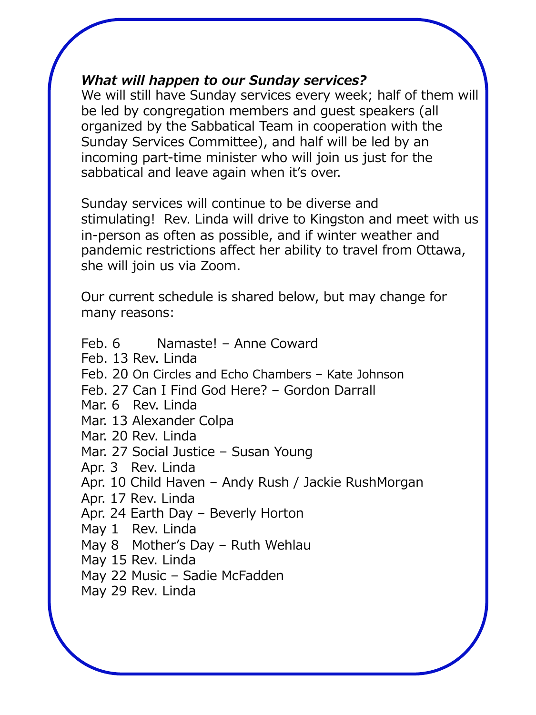#### *What will happen to our Sunday services?*

We will still have Sunday services every week; half of them will be led by congregation members and guest speakers (all organized by the Sabbatical Team in cooperation with the Sunday Services Committee), and half will be led by an incoming part-time minister who will join us just for the sabbatical and leave again when it's over.

Sunday services will continue to be diverse and stimulating! Rev. Linda will drive to Kingston and meet with us in-person as often as possible, and if winter weather and pandemic restrictions affect her ability to travel from Ottawa, she will join us via Zoom.

Our current schedule is shared below, but may change for many reasons:

Feb. 6 Namaste! – Anne Coward Feb. 13 Rev. Linda Feb. 20 On Circles and Echo Chambers – Kate Johnson Feb. 27 Can I Find God Here? – Gordon Darrall Mar. 6 Rev. Linda Mar. 13 Alexander Colpa Mar. 20 Rev. Linda Mar. 27 Social Justice – Susan Young Apr. 3 Rev. Linda Apr. 10 Child Haven – Andy Rush / Jackie RushMorgan Apr. 17 Rev. Linda Apr. 24 Earth Day – Beverly Horton May 1 Rev. Linda May 8 Mother's Day – Ruth Wehlau May 15 Rev. Linda May 22 Music – Sadie McFadden May 29 Rev. Linda